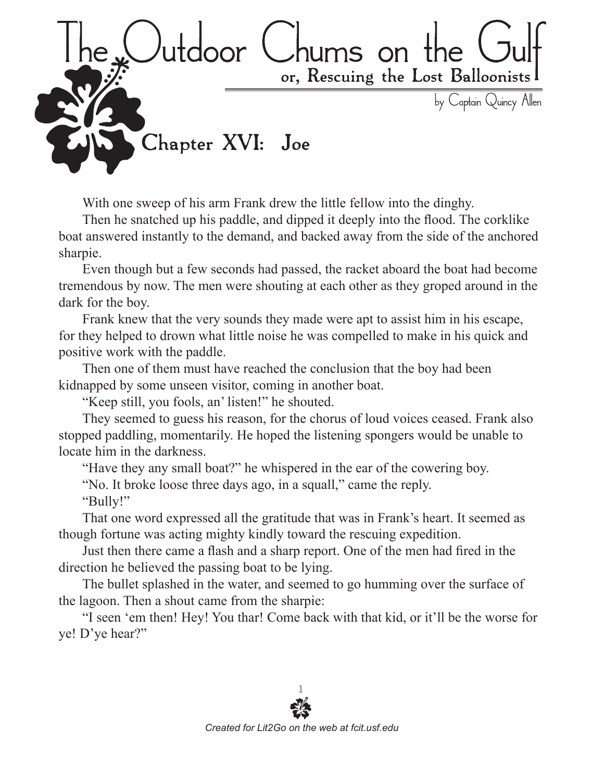

With one sweep of his arm Frank drew the little fellow into the dinghy.

Then he snatched up his paddle, and dipped it deeply into the flood. The corklike boat answered instantly to the demand, and backed away from the side of the anchored sharpie.

Even though but a few seconds had passed, the racket aboard the boat had become tremendous by now. The men were shouting at each other as they groped around in the dark for the boy.

Frank knew that the very sounds they made were apt to assist him in his escape, for they helped to drown what little noise he was compelled to make in his quick and positive work with the paddle.

Then one of them must have reached the conclusion that the boy had been kidnapped by some unseen visitor, coming in another boat.

"Keep still, you fools, an' listen!" he shouted.

They seemed to guess his reason, for the chorus of loud voices ceased. Frank also stopped paddling, momentarily. He hoped the listening spongers would be unable to locate him in the darkness.

"Have they any small boat?" he whispered in the ear of the cowering boy.

"No. It broke loose three days ago, in a squall," came the reply.

"Bully!"

That one word expressed all the gratitude that was in Frank's heart. It seemed as though fortune was acting mighty kindly toward the rescuing expedition.

Just then there came a flash and a sharp report. One of the men had fired in the direction he believed the passing boat to be lying.

The bullet splashed in the water, and seemed to go humming over the surface of the lagoon. Then a shout came from the sharpie:

"I seen 'em then! Hey! You thar! Come back with that kid, or it'll be the worse for ye! D'ye hear?"

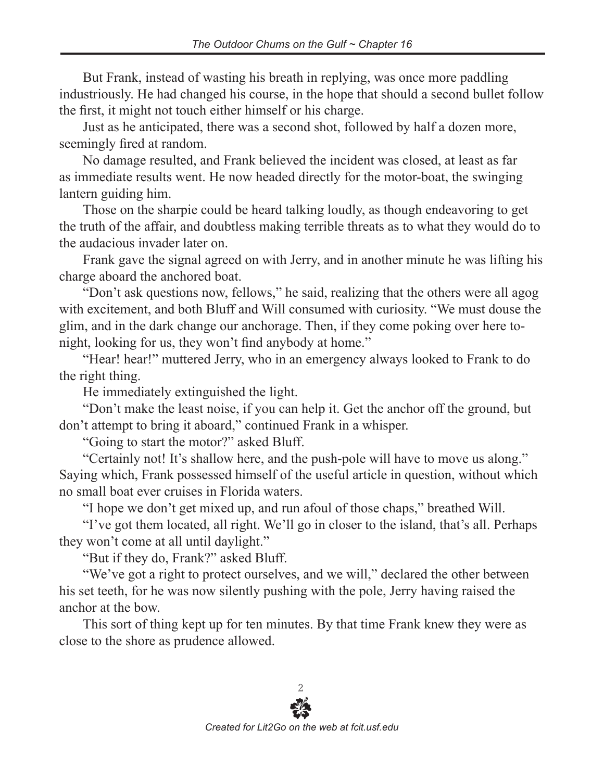But Frank, instead of wasting his breath in replying, was once more paddling industriously. He had changed his course, in the hope that should a second bullet follow the first, it might not touch either himself or his charge.

Just as he anticipated, there was a second shot, followed by half a dozen more, seemingly fired at random.

No damage resulted, and Frank believed the incident was closed, at least as far as immediate results went. He now headed directly for the motor-boat, the swinging lantern guiding him.

Those on the sharpie could be heard talking loudly, as though endeavoring to get the truth of the affair, and doubtless making terrible threats as to what they would do to the audacious invader later on.

Frank gave the signal agreed on with Jerry, and in another minute he was lifting his charge aboard the anchored boat.

"Don't ask questions now, fellows," he said, realizing that the others were all agog with excitement, and both Bluff and Will consumed with curiosity. "We must douse the glim, and in the dark change our anchorage. Then, if they come poking over here tonight, looking for us, they won't find anybody at home."

"Hear! hear!" muttered Jerry, who in an emergency always looked to Frank to do the right thing.

He immediately extinguished the light.

"Don't make the least noise, if you can help it. Get the anchor off the ground, but don't attempt to bring it aboard," continued Frank in a whisper.

"Going to start the motor?" asked Bluff.

"Certainly not! It's shallow here, and the push-pole will have to move us along." Saying which, Frank possessed himself of the useful article in question, without which no small boat ever cruises in Florida waters.

"I hope we don't get mixed up, and run afoul of those chaps," breathed Will.

"I've got them located, all right. We'll go in closer to the island, that's all. Perhaps they won't come at all until daylight."

"But if they do, Frank?" asked Bluff.

"We've got a right to protect ourselves, and we will," declared the other between his set teeth, for he was now silently pushing with the pole, Jerry having raised the anchor at the bow.

This sort of thing kept up for ten minutes. By that time Frank knew they were as close to the shore as prudence allowed.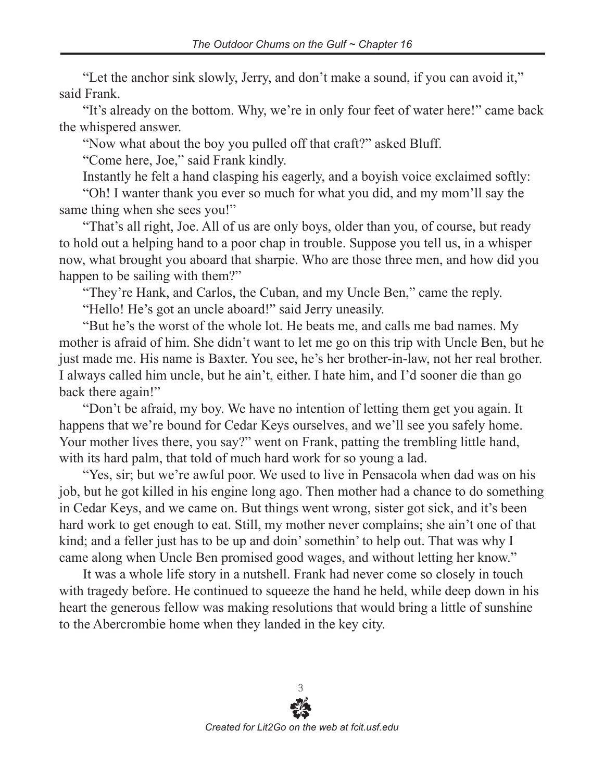"Let the anchor sink slowly, Jerry, and don't make a sound, if you can avoid it," said Frank.

"It's already on the bottom. Why, we're in only four feet of water here!" came back the whispered answer.

"Now what about the boy you pulled off that craft?" asked Bluff.

"Come here, Joe," said Frank kindly.

Instantly he felt a hand clasping his eagerly, and a boyish voice exclaimed softly:

"Oh! I wanter thank you ever so much for what you did, and my mom'll say the same thing when she sees you!"

"That's all right, Joe. All of us are only boys, older than you, of course, but ready to hold out a helping hand to a poor chap in trouble. Suppose you tell us, in a whisper now, what brought you aboard that sharpie. Who are those three men, and how did you happen to be sailing with them?"

"They're Hank, and Carlos, the Cuban, and my Uncle Ben," came the reply.

"Hello! He's got an uncle aboard!" said Jerry uneasily.

"But he's the worst of the whole lot. He beats me, and calls me bad names. My mother is afraid of him. She didn't want to let me go on this trip with Uncle Ben, but he just made me. His name is Baxter. You see, he's her brother-in-law, not her real brother. I always called him uncle, but he ain't, either. I hate him, and I'd sooner die than go back there again!"

"Don't be afraid, my boy. We have no intention of letting them get you again. It happens that we're bound for Cedar Keys ourselves, and we'll see you safely home. Your mother lives there, you say?" went on Frank, patting the trembling little hand, with its hard palm, that told of much hard work for so young a lad.

"Yes, sir; but we're awful poor. We used to live in Pensacola when dad was on his job, but he got killed in his engine long ago. Then mother had a chance to do something in Cedar Keys, and we came on. But things went wrong, sister got sick, and it's been hard work to get enough to eat. Still, my mother never complains; she ain't one of that kind; and a feller just has to be up and doin' somethin' to help out. That was why I came along when Uncle Ben promised good wages, and without letting her know."

It was a whole life story in a nutshell. Frank had never come so closely in touch with tragedy before. He continued to squeeze the hand he held, while deep down in his heart the generous fellow was making resolutions that would bring a little of sunshine to the Abercrombie home when they landed in the key city.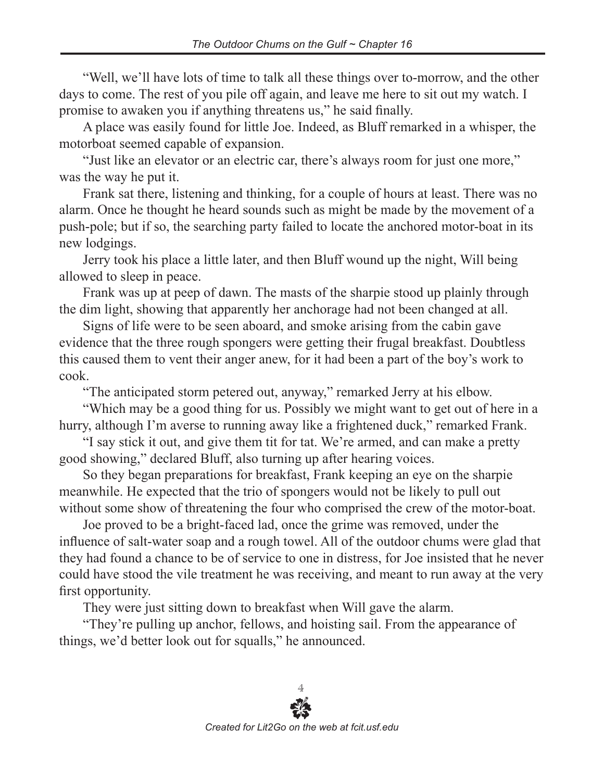"Well, we'll have lots of time to talk all these things over to-morrow, and the other days to come. The rest of you pile off again, and leave me here to sit out my watch. I promise to awaken you if anything threatens us," he said finally.

A place was easily found for little Joe. Indeed, as Bluff remarked in a whisper, the motorboat seemed capable of expansion.

"Just like an elevator or an electric car, there's always room for just one more," was the way he put it.

Frank sat there, listening and thinking, for a couple of hours at least. There was no alarm. Once he thought he heard sounds such as might be made by the movement of a push-pole; but if so, the searching party failed to locate the anchored motor-boat in its new lodgings.

Jerry took his place a little later, and then Bluff wound up the night, Will being allowed to sleep in peace.

Frank was up at peep of dawn. The masts of the sharpie stood up plainly through the dim light, showing that apparently her anchorage had not been changed at all.

Signs of life were to be seen aboard, and smoke arising from the cabin gave evidence that the three rough spongers were getting their frugal breakfast. Doubtless this caused them to vent their anger anew, for it had been a part of the boy's work to cook.

"The anticipated storm petered out, anyway," remarked Jerry at his elbow.

"Which may be a good thing for us. Possibly we might want to get out of here in a hurry, although I'm averse to running away like a frightened duck," remarked Frank.

"I say stick it out, and give them tit for tat. We're armed, and can make a pretty good showing," declared Bluff, also turning up after hearing voices.

So they began preparations for breakfast, Frank keeping an eye on the sharpie meanwhile. He expected that the trio of spongers would not be likely to pull out without some show of threatening the four who comprised the crew of the motor-boat.

Joe proved to be a bright-faced lad, once the grime was removed, under the influence of salt-water soap and a rough towel. All of the outdoor chums were glad that they had found a chance to be of service to one in distress, for Joe insisted that he never could have stood the vile treatment he was receiving, and meant to run away at the very first opportunity.

They were just sitting down to breakfast when Will gave the alarm.

"They're pulling up anchor, fellows, and hoisting sail. From the appearance of things, we'd better look out for squalls," he announced.